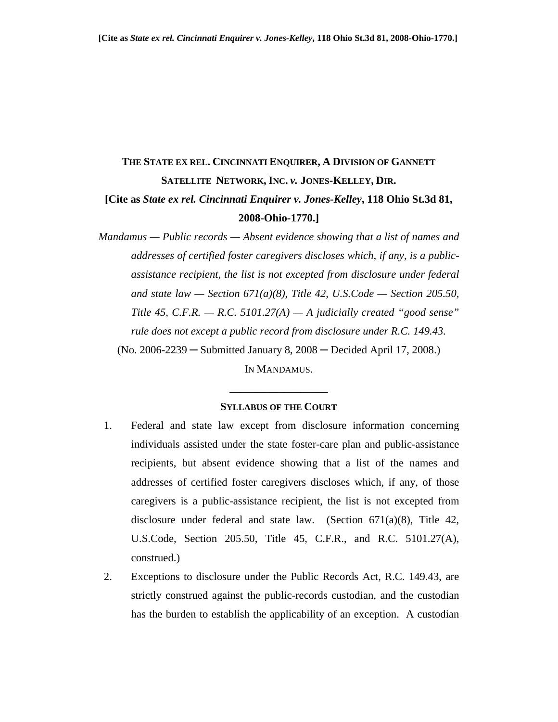# **THE STATE EX REL. CINCINNATI ENQUIRER, A DIVISION OF GANNETT SATELLITE NETWORK, INC.** *v.* **JONES-KELLEY, DIR. [Cite as** *State ex rel. Cincinnati Enquirer v. Jones-Kelley***, 118 Ohio St.3d 81,**

#### **2008-Ohio-1770.]**

*Mandamus — Public records — Absent evidence showing that a list of names and addresses of certified foster caregivers discloses which, if any, is a publicassistance recipient, the list is not excepted from disclosure under federal and state law — Section 671(a)(8), Title 42, U.S.Code — Section 205.50, Title 45, C.F.R. — R.C. 5101.27(A) — A judicially created "good sense" rule does not except a public record from disclosure under R.C. 149.43.*  (No. 2006-2239 ─ Submitted January 8, 2008 ─ Decided April 17, 2008.)

IN MANDAMUS.

\_\_\_\_\_\_\_\_\_\_\_\_\_\_\_\_\_\_

#### **SYLLABUS OF THE COURT**

- 1. Federal and state law except from disclosure information concerning individuals assisted under the state foster-care plan and public-assistance recipients, but absent evidence showing that a list of the names and addresses of certified foster caregivers discloses which, if any, of those caregivers is a public-assistance recipient, the list is not excepted from disclosure under federal and state law. (Section 671(a)(8), Title 42, U.S.Code, Section 205.50, Title 45, C.F.R., and R.C. 5101.27(A), construed.)
- 2. Exceptions to disclosure under the Public Records Act, R.C. 149.43, are strictly construed against the public-records custodian, and the custodian has the burden to establish the applicability of an exception. A custodian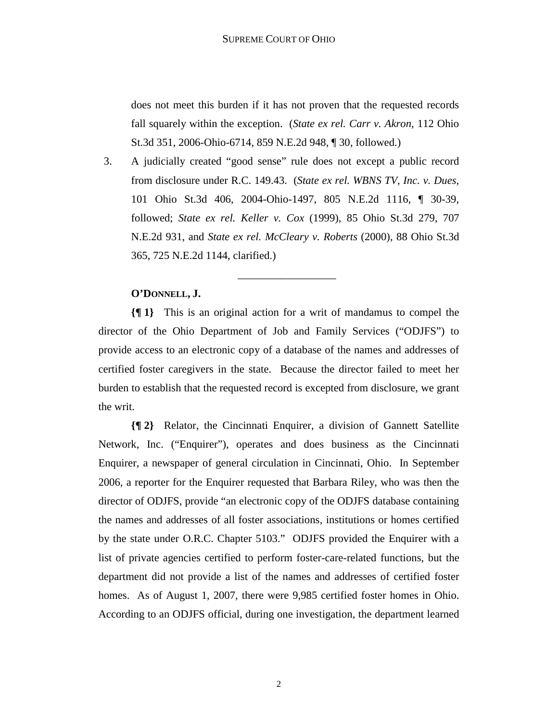does not meet this burden if it has not proven that the requested records fall squarely within the exception. (*State ex rel. Carr v. Akron*, 112 Ohio St.3d 351, 2006-Ohio-6714, 859 N.E.2d 948, ¶ 30, followed.)

3. A judicially created "good sense" rule does not except a public record from disclosure under R.C. 149.43. (*State ex rel. WBNS TV, Inc. v. Dues*, 101 Ohio St.3d 406, 2004-Ohio-1497, 805 N.E.2d 1116, ¶ 30-39, followed; *State ex rel. Keller v. Cox* (1999), 85 Ohio St.3d 279, 707 N.E.2d 931, and *State ex rel. McCleary v. Roberts* (2000), 88 Ohio St.3d 365, 725 N.E.2d 1144, clarified.)

\_\_\_\_\_\_\_\_\_\_\_\_\_\_\_\_\_\_

### **O'DONNELL, J.**

**{¶ 1}** This is an original action for a writ of mandamus to compel the director of the Ohio Department of Job and Family Services ("ODJFS") to provide access to an electronic copy of a database of the names and addresses of certified foster caregivers in the state. Because the director failed to meet her burden to establish that the requested record is excepted from disclosure, we grant the writ.

**{¶ 2}** Relator, the Cincinnati Enquirer, a division of Gannett Satellite Network, Inc. ("Enquirer"), operates and does business as the Cincinnati Enquirer, a newspaper of general circulation in Cincinnati, Ohio. In September 2006, a reporter for the Enquirer requested that Barbara Riley, who was then the director of ODJFS, provide "an electronic copy of the ODJFS database containing the names and addresses of all foster associations, institutions or homes certified by the state under O.R.C. Chapter 5103." ODJFS provided the Enquirer with a list of private agencies certified to perform foster-care-related functions, but the department did not provide a list of the names and addresses of certified foster homes. As of August 1, 2007, there were 9,985 certified foster homes in Ohio. According to an ODJFS official, during one investigation, the department learned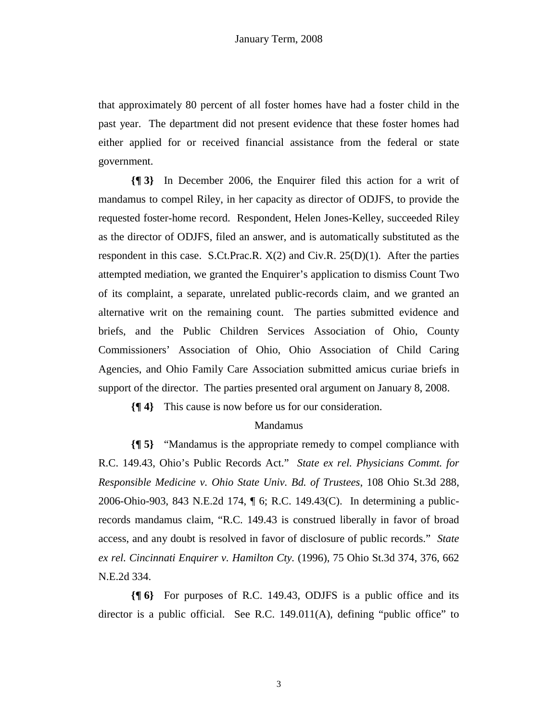that approximately 80 percent of all foster homes have had a foster child in the past year. The department did not present evidence that these foster homes had either applied for or received financial assistance from the federal or state government.

**{¶ 3}** In December 2006, the Enquirer filed this action for a writ of mandamus to compel Riley, in her capacity as director of ODJFS, to provide the requested foster-home record. Respondent, Helen Jones-Kelley, succeeded Riley as the director of ODJFS, filed an answer, and is automatically substituted as the respondent in this case. S.Ct.Prac.R.  $X(2)$  and Civ.R.  $25(D)(1)$ . After the parties attempted mediation, we granted the Enquirer's application to dismiss Count Two of its complaint, a separate, unrelated public-records claim, and we granted an alternative writ on the remaining count. The parties submitted evidence and briefs, and the Public Children Services Association of Ohio, County Commissioners' Association of Ohio, Ohio Association of Child Caring Agencies, and Ohio Family Care Association submitted amicus curiae briefs in support of the director. The parties presented oral argument on January 8, 2008.

**{¶ 4}** This cause is now before us for our consideration.

# Mandamus

**{¶ 5}** "Mandamus is the appropriate remedy to compel compliance with R.C. 149.43, Ohio's Public Records Act." *State ex rel. Physicians Commt. for Responsible Medicine v. Ohio State Univ. Bd. of Trustees*, 108 Ohio St.3d 288, 2006-Ohio-903, 843 N.E.2d 174, ¶ 6; R.C. 149.43(C). In determining a publicrecords mandamus claim, "R.C. 149.43 is construed liberally in favor of broad access, and any doubt is resolved in favor of disclosure of public records." *State ex rel. Cincinnati Enquirer v. Hamilton Cty.* (1996), 75 Ohio St.3d 374, 376, 662 N.E.2d 334.

**{¶ 6}** For purposes of R.C. 149.43, ODJFS is a public office and its director is a public official. See R.C. 149.011(A), defining "public office" to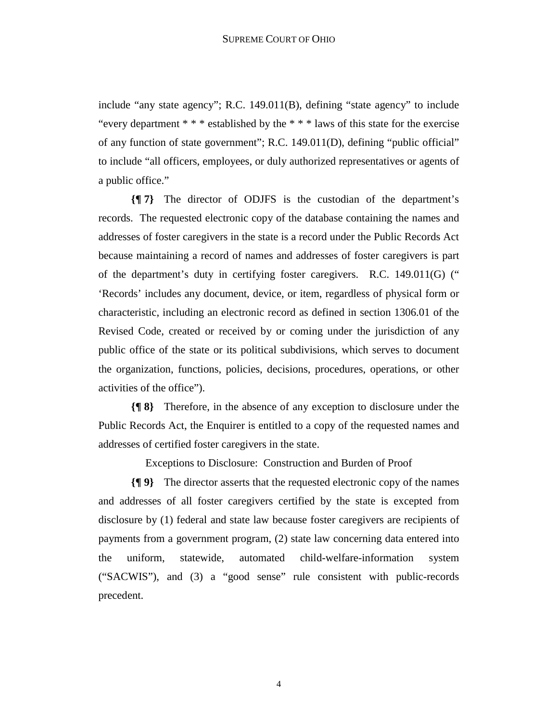include "any state agency"; R.C. 149.011(B), defining "state agency" to include "every department \* \* \* established by the \* \* \* laws of this state for the exercise of any function of state government"; R.C. 149.011(D), defining "public official" to include "all officers, employees, or duly authorized representatives or agents of a public office."

**{¶ 7}** The director of ODJFS is the custodian of the department's records. The requested electronic copy of the database containing the names and addresses of foster caregivers in the state is a record under the Public Records Act because maintaining a record of names and addresses of foster caregivers is part of the department's duty in certifying foster caregivers. R.C. 149.011(G) (" 'Records' includes any document, device, or item, regardless of physical form or characteristic, including an electronic record as defined in section 1306.01 of the Revised Code, created or received by or coming under the jurisdiction of any public office of the state or its political subdivisions, which serves to document the organization, functions, policies, decisions, procedures, operations, or other activities of the office").

**{¶ 8}** Therefore, in the absence of any exception to disclosure under the Public Records Act, the Enquirer is entitled to a copy of the requested names and addresses of certified foster caregivers in the state.

Exceptions to Disclosure: Construction and Burden of Proof

**{¶ 9}** The director asserts that the requested electronic copy of the names and addresses of all foster caregivers certified by the state is excepted from disclosure by (1) federal and state law because foster caregivers are recipients of payments from a government program, (2) state law concerning data entered into the uniform, statewide, automated child-welfare-information system ("SACWIS"), and (3) a "good sense" rule consistent with public-records precedent.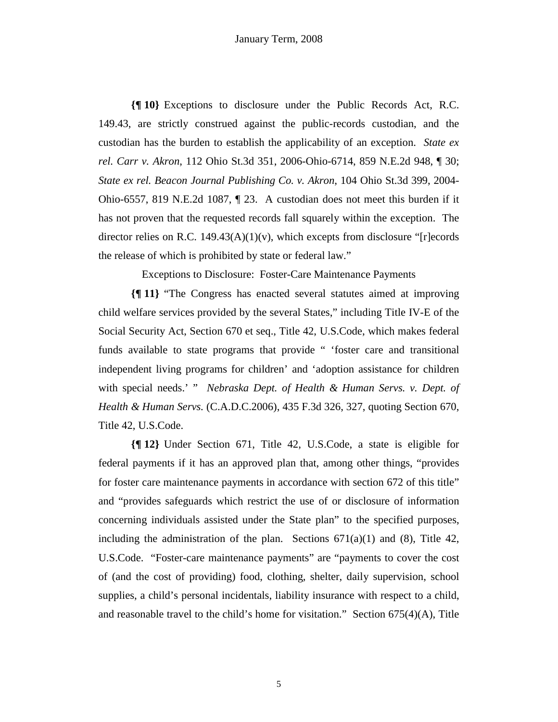**{¶ 10}** Exceptions to disclosure under the Public Records Act, R.C. 149.43, are strictly construed against the public-records custodian, and the custodian has the burden to establish the applicability of an exception. *State ex rel. Carr v. Akron*, 112 Ohio St.3d 351, 2006-Ohio-6714, 859 N.E.2d 948, ¶ 30; *State ex rel. Beacon Journal Publishing Co. v. Akron*, 104 Ohio St.3d 399, 2004- Ohio-6557, 819 N.E.2d 1087, ¶ 23. A custodian does not meet this burden if it has not proven that the requested records fall squarely within the exception. The director relies on R.C. 149.43(A)(1)(v), which excepts from disclosure "[r]ecords the release of which is prohibited by state or federal law."

Exceptions to Disclosure: Foster-Care Maintenance Payments

**{¶ 11}** "The Congress has enacted several statutes aimed at improving child welfare services provided by the several States," including Title IV-E of the Social Security Act, Section 670 et seq., Title 42, U.S.Code, which makes federal funds available to state programs that provide " 'foster care and transitional independent living programs for children' and 'adoption assistance for children with special needs.' " *Nebraska Dept. of Health & Human Servs. v. Dept. of Health & Human Servs.* (C.A.D.C.2006), 435 F.3d 326, 327, quoting Section 670, Title 42, U.S.Code.

**{¶ 12}** Under Section 671, Title 42, U.S.Code, a state is eligible for federal payments if it has an approved plan that, among other things, "provides for foster care maintenance payments in accordance with section 672 of this title" and "provides safeguards which restrict the use of or disclosure of information concerning individuals assisted under the State plan" to the specified purposes, including the administration of the plan. Sections  $671(a)(1)$  and  $(8)$ , Title 42, U.S.Code. "Foster-care maintenance payments" are "payments to cover the cost of (and the cost of providing) food, clothing, shelter, daily supervision, school supplies, a child's personal incidentals, liability insurance with respect to a child, and reasonable travel to the child's home for visitation." Section  $675(4)(A)$ , Title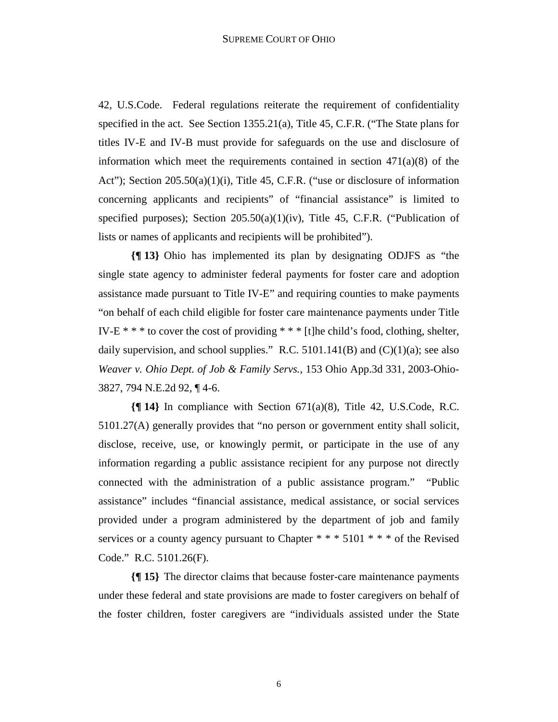42, U.S.Code. Federal regulations reiterate the requirement of confidentiality specified in the act. See Section 1355.21(a), Title 45, C.F.R. ("The State plans for titles IV-E and IV-B must provide for safeguards on the use and disclosure of information which meet the requirements contained in section  $471(a)(8)$  of the Act"); Section 205.50(a)(1)(i), Title 45, C.F.R. ("use or disclosure of information concerning applicants and recipients" of "financial assistance" is limited to specified purposes); Section 205.50(a)(1)(iv), Title 45, C.F.R. ("Publication of lists or names of applicants and recipients will be prohibited").

**{¶ 13}** Ohio has implemented its plan by designating ODJFS as "the single state agency to administer federal payments for foster care and adoption assistance made pursuant to Title IV-E" and requiring counties to make payments "on behalf of each child eligible for foster care maintenance payments under Title IV-E  $**$  to cover the cost of providing  $**$  [t]he child's food, clothing, shelter, daily supervision, and school supplies." R.C. 5101.141(B) and  $(C)(1)(a)$ ; see also *Weaver v. Ohio Dept. of Job & Family Servs.*, 153 Ohio App.3d 331, 2003-Ohio-3827, 794 N.E.2d 92, ¶ 4-6.

**{¶ 14}** In compliance with Section 671(a)(8), Title 42, U.S.Code, R.C. 5101.27(A) generally provides that "no person or government entity shall solicit, disclose, receive, use, or knowingly permit, or participate in the use of any information regarding a public assistance recipient for any purpose not directly connected with the administration of a public assistance program." "Public assistance" includes "financial assistance, medical assistance, or social services provided under a program administered by the department of job and family services or a county agency pursuant to Chapter  $* * * 5101 * * *$  of the Revised Code." R.C. 5101.26(F).

**{¶ 15}** The director claims that because foster-care maintenance payments under these federal and state provisions are made to foster caregivers on behalf of the foster children, foster caregivers are "individuals assisted under the State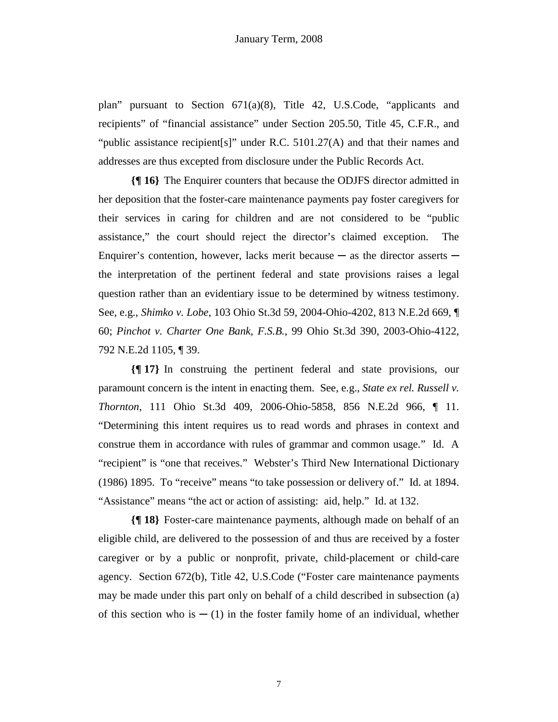plan" pursuant to Section 671(a)(8), Title 42, U.S.Code, "applicants and recipients" of "financial assistance" under Section 205.50, Title 45, C.F.R., and "public assistance recipient[s]" under R.C. 5101.27(A) and that their names and addresses are thus excepted from disclosure under the Public Records Act.

**{¶ 16}** The Enquirer counters that because the ODJFS director admitted in her deposition that the foster-care maintenance payments pay foster caregivers for their services in caring for children and are not considered to be "public assistance," the court should reject the director's claimed exception. The Enquirer's contention, however, lacks merit because  $-$  as the director asserts  $$ the interpretation of the pertinent federal and state provisions raises a legal question rather than an evidentiary issue to be determined by witness testimony. See, e.g., *Shimko v. Lobe*, 103 Ohio St.3d 59, 2004-Ohio-4202, 813 N.E.2d 669, ¶ 60; *Pinchot v. Charter One Bank, F.S.B.*, 99 Ohio St.3d 390, 2003-Ohio-4122, 792 N.E.2d 1105, ¶ 39.

**{¶ 17}** In construing the pertinent federal and state provisions, our paramount concern is the intent in enacting them. See, e.g., *State ex rel. Russell v. Thornton*, 111 Ohio St.3d 409, 2006-Ohio-5858, 856 N.E.2d 966, ¶ 11. "Determining this intent requires us to read words and phrases in context and construe them in accordance with rules of grammar and common usage." Id. A "recipient" is "one that receives." Webster's Third New International Dictionary (1986) 1895. To "receive" means "to take possession or delivery of." Id. at 1894. "Assistance" means "the act or action of assisting: aid, help." Id. at 132.

**{¶ 18}** Foster-care maintenance payments, although made on behalf of an eligible child, are delivered to the possession of and thus are received by a foster caregiver or by a public or nonprofit, private, child-placement or child-care agency. Section 672(b), Title 42, U.S.Code ("Foster care maintenance payments may be made under this part only on behalf of a child described in subsection (a) of this section who is  $-$  (1) in the foster family home of an individual, whether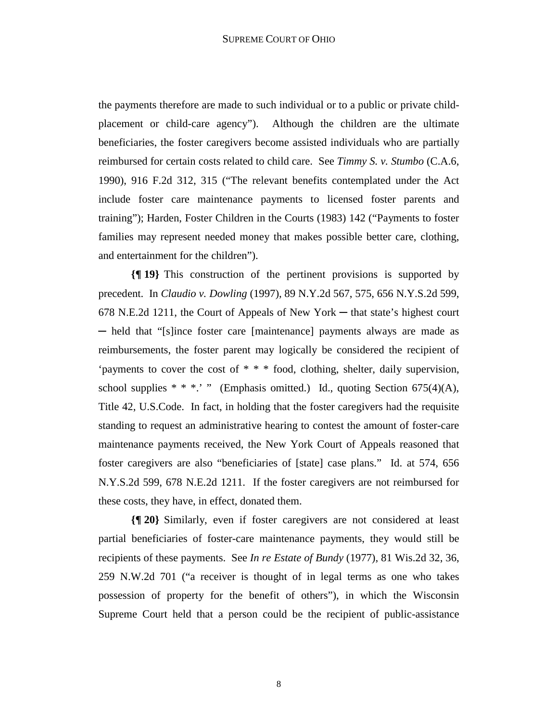the payments therefore are made to such individual or to a public or private childplacement or child-care agency"). Although the children are the ultimate beneficiaries, the foster caregivers become assisted individuals who are partially reimbursed for certain costs related to child care. See *Timmy S. v. Stumbo* (C.A.6, 1990), 916 F.2d 312, 315 ("The relevant benefits contemplated under the Act include foster care maintenance payments to licensed foster parents and training"); Harden, Foster Children in the Courts (1983) 142 ("Payments to foster families may represent needed money that makes possible better care, clothing, and entertainment for the children").

**{¶ 19}** This construction of the pertinent provisions is supported by precedent. In *Claudio v. Dowling* (1997), 89 N.Y.2d 567, 575, 656 N.Y.S.2d 599, 678 N.E.2d 1211, the Court of Appeals of New York ─ that state's highest court ─ held that "[s]ince foster care [maintenance] payments always are made as reimbursements, the foster parent may logically be considered the recipient of 'payments to cover the cost of \* \* \* food, clothing, shelter, daily supervision, school supplies  $* * *$ .' " (Emphasis omitted.) Id., quoting Section 675(4)(A), Title 42, U.S.Code. In fact, in holding that the foster caregivers had the requisite standing to request an administrative hearing to contest the amount of foster-care maintenance payments received, the New York Court of Appeals reasoned that foster caregivers are also "beneficiaries of [state] case plans." Id. at 574, 656 N.Y.S.2d 599, 678 N.E.2d 1211. If the foster caregivers are not reimbursed for these costs, they have, in effect, donated them.

**{¶ 20}** Similarly, even if foster caregivers are not considered at least partial beneficiaries of foster-care maintenance payments, they would still be recipients of these payments. See *In re Estate of Bundy* (1977), 81 Wis.2d 32, 36, 259 N.W.2d 701 ("a receiver is thought of in legal terms as one who takes possession of property for the benefit of others"), in which the Wisconsin Supreme Court held that a person could be the recipient of public-assistance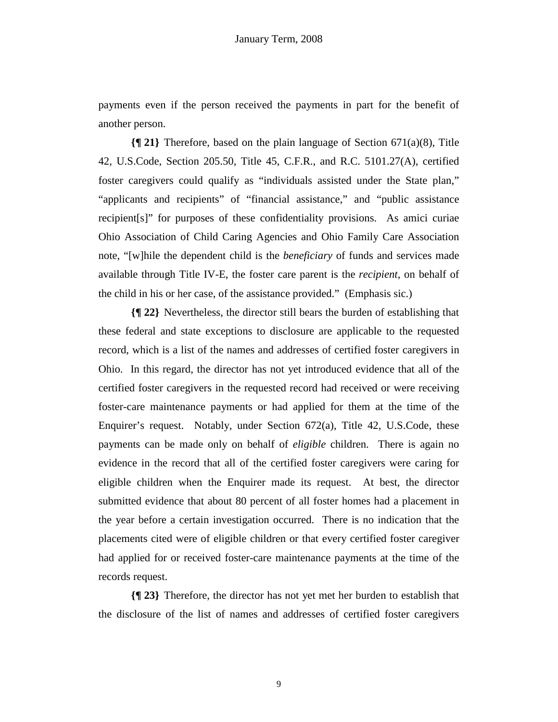payments even if the person received the payments in part for the benefit of another person.

**{¶ 21}** Therefore, based on the plain language of Section 671(a)(8), Title 42, U.S.Code, Section 205.50, Title 45, C.F.R., and R.C. 5101.27(A), certified foster caregivers could qualify as "individuals assisted under the State plan," "applicants and recipients" of "financial assistance," and "public assistance recipient[s]" for purposes of these confidentiality provisions. As amici curiae Ohio Association of Child Caring Agencies and Ohio Family Care Association note, "[w]hile the dependent child is the *beneficiary* of funds and services made available through Title IV-E, the foster care parent is the *recipient*, on behalf of the child in his or her case, of the assistance provided." (Emphasis sic.)

**{¶ 22}** Nevertheless, the director still bears the burden of establishing that these federal and state exceptions to disclosure are applicable to the requested record, which is a list of the names and addresses of certified foster caregivers in Ohio. In this regard, the director has not yet introduced evidence that all of the certified foster caregivers in the requested record had received or were receiving foster-care maintenance payments or had applied for them at the time of the Enquirer's request. Notably, under Section 672(a), Title 42, U.S.Code, these payments can be made only on behalf of *eligible* children. There is again no evidence in the record that all of the certified foster caregivers were caring for eligible children when the Enquirer made its request. At best, the director submitted evidence that about 80 percent of all foster homes had a placement in the year before a certain investigation occurred. There is no indication that the placements cited were of eligible children or that every certified foster caregiver had applied for or received foster-care maintenance payments at the time of the records request.

**{¶ 23}** Therefore, the director has not yet met her burden to establish that the disclosure of the list of names and addresses of certified foster caregivers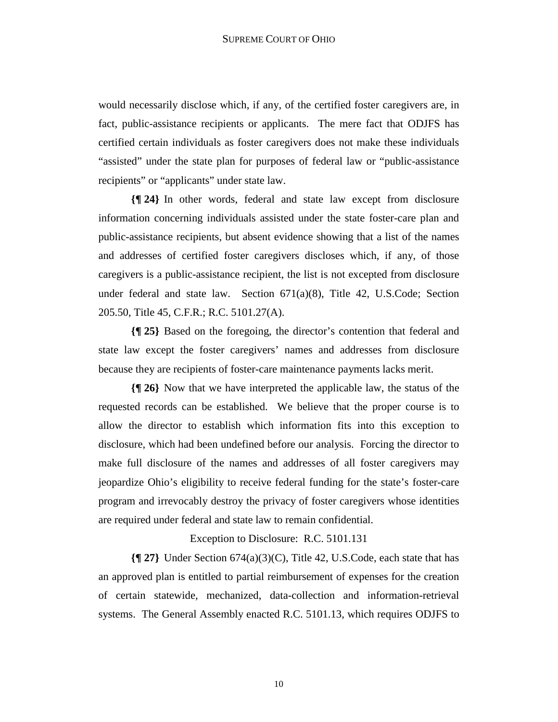would necessarily disclose which, if any, of the certified foster caregivers are, in fact, public-assistance recipients or applicants. The mere fact that ODJFS has certified certain individuals as foster caregivers does not make these individuals "assisted" under the state plan for purposes of federal law or "public-assistance recipients" or "applicants" under state law.

**{¶ 24}** In other words, federal and state law except from disclosure information concerning individuals assisted under the state foster-care plan and public-assistance recipients, but absent evidence showing that a list of the names and addresses of certified foster caregivers discloses which, if any, of those caregivers is a public-assistance recipient, the list is not excepted from disclosure under federal and state law. Section  $671(a)(8)$ , Title 42, U.S.Code; Section 205.50, Title 45, C.F.R.; R.C. 5101.27(A).

**{¶ 25}** Based on the foregoing, the director's contention that federal and state law except the foster caregivers' names and addresses from disclosure because they are recipients of foster-care maintenance payments lacks merit.

**{¶ 26}** Now that we have interpreted the applicable law, the status of the requested records can be established. We believe that the proper course is to allow the director to establish which information fits into this exception to disclosure, which had been undefined before our analysis. Forcing the director to make full disclosure of the names and addresses of all foster caregivers may jeopardize Ohio's eligibility to receive federal funding for the state's foster-care program and irrevocably destroy the privacy of foster caregivers whose identities are required under federal and state law to remain confidential.

Exception to Disclosure: R.C. 5101.131

**{¶ 27}** Under Section 674(a)(3)(C), Title 42, U.S.Code, each state that has an approved plan is entitled to partial reimbursement of expenses for the creation of certain statewide, mechanized, data-collection and information-retrieval systems. The General Assembly enacted R.C. 5101.13, which requires ODJFS to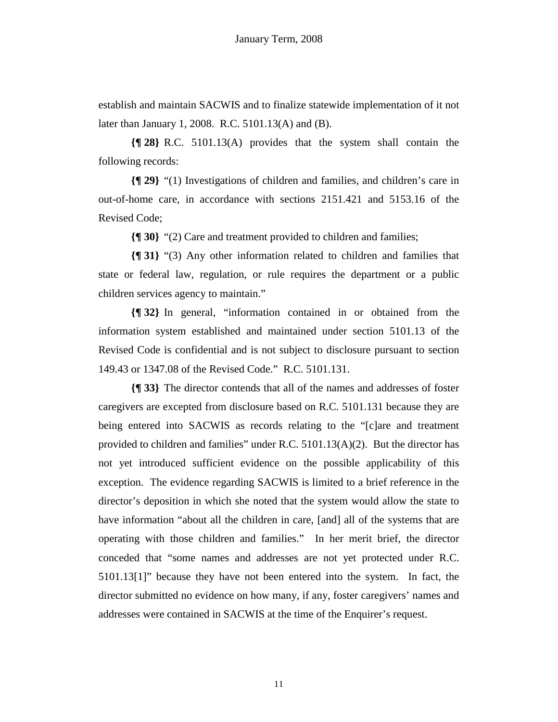establish and maintain SACWIS and to finalize statewide implementation of it not later than January 1, 2008. R.C. 5101.13(A) and (B).

**{¶ 28}** R.C. 5101.13(A) provides that the system shall contain the following records:

**{¶ 29}** "(1) Investigations of children and families, and children's care in out-of-home care, in accordance with sections 2151.421 and 5153.16 of the Revised Code;

**{¶ 30}** "(2) Care and treatment provided to children and families;

**{¶ 31}** "(3) Any other information related to children and families that state or federal law, regulation, or rule requires the department or a public children services agency to maintain."

**{¶ 32}** In general, "information contained in or obtained from the information system established and maintained under section 5101.13 of the Revised Code is confidential and is not subject to disclosure pursuant to section 149.43 or 1347.08 of the Revised Code." R.C. 5101.131.

**{¶ 33}** The director contends that all of the names and addresses of foster caregivers are excepted from disclosure based on R.C. 5101.131 because they are being entered into SACWIS as records relating to the "[c]are and treatment provided to children and families" under R.C. 5101.13(A)(2). But the director has not yet introduced sufficient evidence on the possible applicability of this exception. The evidence regarding SACWIS is limited to a brief reference in the director's deposition in which she noted that the system would allow the state to have information "about all the children in care, [and] all of the systems that are operating with those children and families." In her merit brief, the director conceded that "some names and addresses are not yet protected under R.C. 5101.13[1]" because they have not been entered into the system. In fact, the director submitted no evidence on how many, if any, foster caregivers' names and addresses were contained in SACWIS at the time of the Enquirer's request.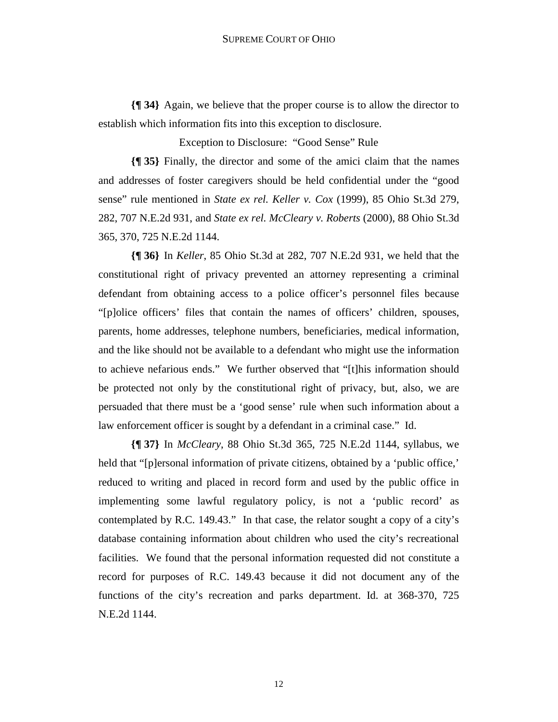**{¶ 34}** Again, we believe that the proper course is to allow the director to establish which information fits into this exception to disclosure.

Exception to Disclosure: "Good Sense" Rule

**{¶ 35}** Finally, the director and some of the amici claim that the names and addresses of foster caregivers should be held confidential under the "good sense" rule mentioned in *State ex rel. Keller v. Cox* (1999), 85 Ohio St.3d 279, 282, 707 N.E.2d 931, and *State ex rel. McCleary v. Roberts* (2000), 88 Ohio St.3d 365, 370, 725 N.E.2d 1144.

**{¶ 36}** In *Keller*, 85 Ohio St.3d at 282, 707 N.E.2d 931, we held that the constitutional right of privacy prevented an attorney representing a criminal defendant from obtaining access to a police officer's personnel files because "[p]olice officers' files that contain the names of officers' children, spouses, parents, home addresses, telephone numbers, beneficiaries, medical information, and the like should not be available to a defendant who might use the information to achieve nefarious ends." We further observed that "[t]his information should be protected not only by the constitutional right of privacy, but, also, we are persuaded that there must be a 'good sense' rule when such information about a law enforcement officer is sought by a defendant in a criminal case." Id.

**{¶ 37}** In *McCleary*, 88 Ohio St.3d 365, 725 N.E.2d 1144, syllabus, we held that "[p]ersonal information of private citizens, obtained by a 'public office,' reduced to writing and placed in record form and used by the public office in implementing some lawful regulatory policy, is not a 'public record' as contemplated by R.C. 149.43." In that case, the relator sought a copy of a city's database containing information about children who used the city's recreational facilities. We found that the personal information requested did not constitute a record for purposes of R.C. 149.43 because it did not document any of the functions of the city's recreation and parks department. Id. at 368-370, 725 N.E.2d 1144.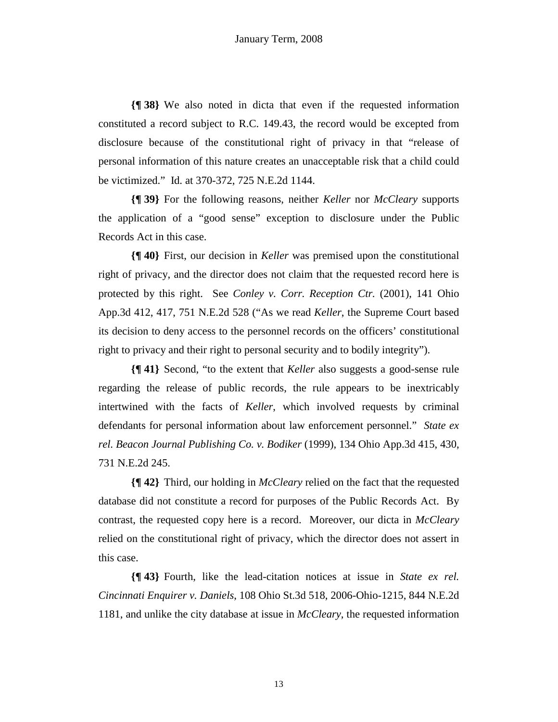**{¶ 38}** We also noted in dicta that even if the requested information constituted a record subject to R.C. 149.43, the record would be excepted from disclosure because of the constitutional right of privacy in that "release of personal information of this nature creates an unacceptable risk that a child could be victimized." Id. at 370-372, 725 N.E.2d 1144.

**{¶ 39}** For the following reasons, neither *Keller* nor *McCleary* supports the application of a "good sense" exception to disclosure under the Public Records Act in this case.

**{¶ 40}** First, our decision in *Keller* was premised upon the constitutional right of privacy, and the director does not claim that the requested record here is protected by this right. See *Conley v. Corr. Reception Ctr.* (2001), 141 Ohio App.3d 412, 417, 751 N.E.2d 528 ("As we read *Keller*, the Supreme Court based its decision to deny access to the personnel records on the officers' constitutional right to privacy and their right to personal security and to bodily integrity").

**{¶ 41}** Second, "to the extent that *Keller* also suggests a good-sense rule regarding the release of public records, the rule appears to be inextricably intertwined with the facts of *Keller*, which involved requests by criminal defendants for personal information about law enforcement personnel." *State ex rel. Beacon Journal Publishing Co. v. Bodiker* (1999), 134 Ohio App.3d 415, 430, 731 N.E.2d 245.

**{¶ 42}** Third, our holding in *McCleary* relied on the fact that the requested database did not constitute a record for purposes of the Public Records Act. By contrast, the requested copy here is a record. Moreover, our dicta in *McCleary* relied on the constitutional right of privacy, which the director does not assert in this case.

**{¶ 43}** Fourth, like the lead-citation notices at issue in *State ex rel. Cincinnati Enquirer v. Daniels*, 108 Ohio St.3d 518, 2006-Ohio-1215, 844 N.E.2d 1181, and unlike the city database at issue in *McCleary*, the requested information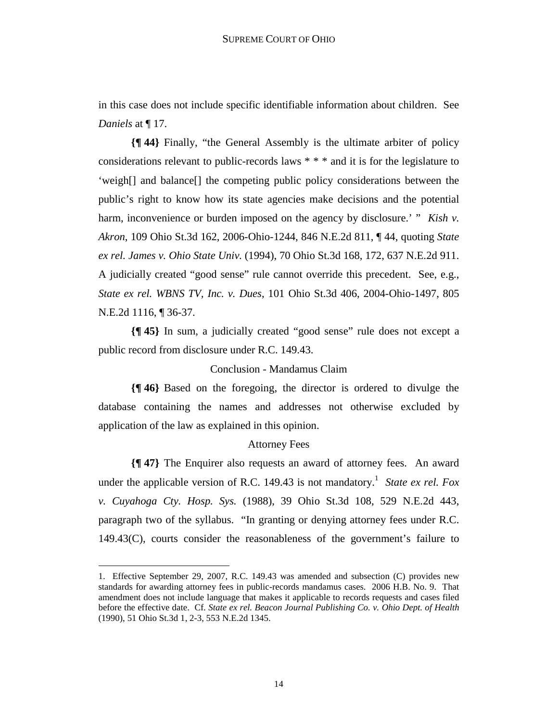in this case does not include specific identifiable information about children. See *Daniels* at ¶ 17.

**{¶ 44}** Finally, "the General Assembly is the ultimate arbiter of policy considerations relevant to public-records laws \* \* \* and it is for the legislature to 'weigh[] and balance[] the competing public policy considerations between the public's right to know how its state agencies make decisions and the potential harm, inconvenience or burden imposed on the agency by disclosure.' " *Kish v. Akron*, 109 Ohio St.3d 162, 2006-Ohio-1244, 846 N.E.2d 811, ¶ 44, quoting *State ex rel. James v. Ohio State Univ.* (1994), 70 Ohio St.3d 168, 172, 637 N.E.2d 911. A judicially created "good sense" rule cannot override this precedent. See, e.g., *State ex rel. WBNS TV, Inc. v. Dues*, 101 Ohio St.3d 406, 2004-Ohio-1497, 805 N.E.2d 1116, ¶ 36-37.

**{¶ 45}** In sum, a judicially created "good sense" rule does not except a public record from disclosure under R.C. 149.43.

# Conclusion - Mandamus Claim

**{¶ 46}** Based on the foregoing, the director is ordered to divulge the database containing the names and addresses not otherwise excluded by application of the law as explained in this opinion.

# Attorney Fees

**{¶ 47}** The Enquirer also requests an award of attorney fees. An award under the applicable version of R.C. 149.43 is not mandatory.<sup>1</sup> State ex rel. Fox *v. Cuyahoga Cty. Hosp. Sys.* (1988), 39 Ohio St.3d 108, 529 N.E.2d 443, paragraph two of the syllabus. "In granting or denying attorney fees under R.C. 149.43(C), courts consider the reasonableness of the government's failure to

<sup>1.</sup> Effective September 29, 2007, R.C. 149.43 was amended and subsection (C) provides new standards for awarding attorney fees in public-records mandamus cases. 2006 H.B. No. 9. That amendment does not include language that makes it applicable to records requests and cases filed before the effective date. Cf. *State ex rel. Beacon Journal Publishing Co. v. Ohio Dept. of Health*  (1990), 51 Ohio St.3d 1, 2-3, 553 N.E.2d 1345.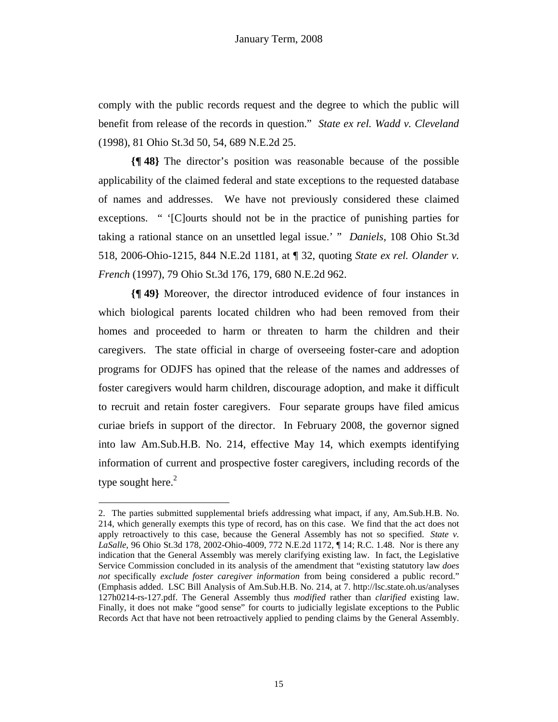comply with the public records request and the degree to which the public will benefit from release of the records in question." *State ex rel. Wadd v. Cleveland* (1998), 81 Ohio St.3d 50, 54, 689 N.E.2d 25.

**{¶ 48}** The director's position was reasonable because of the possible applicability of the claimed federal and state exceptions to the requested database of names and addresses. We have not previously considered these claimed exceptions. " '[C]ourts should not be in the practice of punishing parties for taking a rational stance on an unsettled legal issue.' " *Daniels*, 108 Ohio St.3d 518, 2006-Ohio-1215, 844 N.E.2d 1181, at ¶ 32, quoting *State ex rel. Olander v. French* (1997), 79 Ohio St.3d 176, 179, 680 N.E.2d 962.

**{¶ 49}** Moreover, the director introduced evidence of four instances in which biological parents located children who had been removed from their homes and proceeded to harm or threaten to harm the children and their caregivers. The state official in charge of overseeing foster-care and adoption programs for ODJFS has opined that the release of the names and addresses of foster caregivers would harm children, discourage adoption, and make it difficult to recruit and retain foster caregivers. Four separate groups have filed amicus curiae briefs in support of the director. In February 2008, the governor signed into law Am.Sub.H.B. No. 214, effective May 14, which exempts identifying information of current and prospective foster caregivers, including records of the type sought here. $2$ 

<sup>2.</sup> The parties submitted supplemental briefs addressing what impact, if any, Am.Sub.H.B. No. 214, which generally exempts this type of record, has on this case. We find that the act does not apply retroactively to this case, because the General Assembly has not so specified. *State v. LaSalle*, 96 Ohio St.3d 178, 2002-Ohio-4009, 772 N.E.2d 1172, ¶ 14; R.C. 1.48. Nor is there any indication that the General Assembly was merely clarifying existing law. In fact, the Legislative Service Commission concluded in its analysis of the amendment that "existing statutory law *does not* specifically *exclude foster caregiver information* from being considered a public record." (Emphasis added. LSC Bill Analysis of Am.Sub.H.B. No. 214, at 7. http://lsc.state.oh.us/analyses 127h0214-rs-127.pdf. The General Assembly thus *modified* rather than *clarified* existing law. Finally, it does not make "good sense" for courts to judicially legislate exceptions to the Public Records Act that have not been retroactively applied to pending claims by the General Assembly.